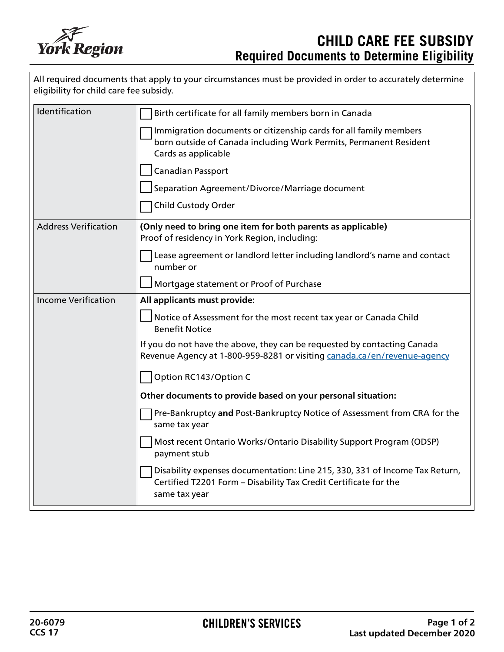

| All required documents that apply to your circumstances must be provided in order to accurately determine<br>eligibility for child care fee subsidy. |                                                                                                                                                                  |
|------------------------------------------------------------------------------------------------------------------------------------------------------|------------------------------------------------------------------------------------------------------------------------------------------------------------------|
| Identification                                                                                                                                       | Birth certificate for all family members born in Canada                                                                                                          |
|                                                                                                                                                      | Immigration documents or citizenship cards for all family members<br>born outside of Canada including Work Permits, Permanent Resident<br>Cards as applicable    |
|                                                                                                                                                      | Canadian Passport                                                                                                                                                |
|                                                                                                                                                      | Separation Agreement/Divorce/Marriage document                                                                                                                   |
|                                                                                                                                                      | <b>Child Custody Order</b>                                                                                                                                       |
| <b>Address Verification</b>                                                                                                                          | (Only need to bring one item for both parents as applicable)<br>Proof of residency in York Region, including:                                                    |
|                                                                                                                                                      | Lease agreement or landlord letter including landlord's name and contact<br>number or                                                                            |
|                                                                                                                                                      | Mortgage statement or Proof of Purchase                                                                                                                          |
| <b>Income Verification</b>                                                                                                                           | All applicants must provide:                                                                                                                                     |
|                                                                                                                                                      | Notice of Assessment for the most recent tax year or Canada Child<br><b>Benefit Notice</b>                                                                       |
|                                                                                                                                                      | If you do not have the above, they can be requested by contacting Canada<br>Revenue Agency at 1-800-959-8281 or visiting canada.ca/en/revenue-agency             |
|                                                                                                                                                      | Option RC143/Option C                                                                                                                                            |
|                                                                                                                                                      | Other documents to provide based on your personal situation:                                                                                                     |
|                                                                                                                                                      | Pre-Bankruptcy and Post-Bankruptcy Notice of Assessment from CRA for the<br>same tax year                                                                        |
|                                                                                                                                                      | Most recent Ontario Works/Ontario Disability Support Program (ODSP)<br>payment stub                                                                              |
|                                                                                                                                                      | Disability expenses documentation: Line 215, 330, 331 of Income Tax Return,<br>Certified T2201 Form - Disability Tax Credit Certificate for the<br>same tax year |